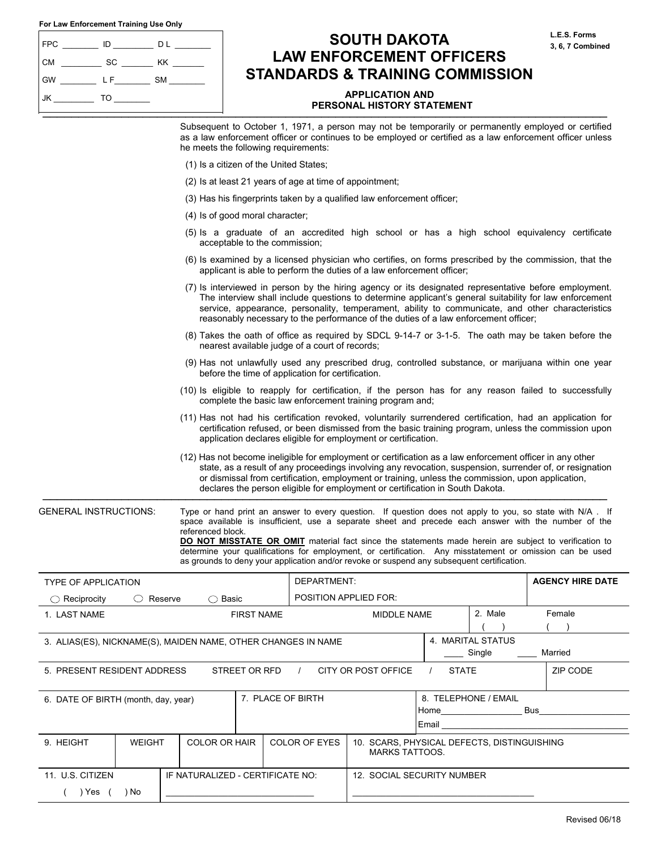| For Law Enforcement Training Use Only |  |  |
|---------------------------------------|--|--|
|---------------------------------------|--|--|

( ) Yes ( ) No

 $\mathcal{L}_\text{max}$ 

| <b>FPC</b> | ID  | DL        |
|------------|-----|-----------|
| <b>CM</b>  | SC  | ΚK        |
| <b>GW</b>  | L F | <b>SM</b> |
| ' JK       | TO  |           |

# **SOUTH DAKOTA LAW ENFORCEMENT OFFICERS STANDARDS & TRAINING COMMISSION**

## **APPLICATION AND**  PERSONAL HISTORY STATEMENT

**L.E.S. Forms 3, 6, 7 Combined** 

|                                                               |                             | he meets the following requirements:   |                   |                                                         | Subsequent to October 1, 1971, a person may not be temporarily or permanently employed or certified<br>as a law enforcement officer or continues to be employed or certified as a law enforcement officer unless                                                                                                                                                                                                                                                                                                                    |                                         |                             |     |                         |
|---------------------------------------------------------------|-----------------------------|----------------------------------------|-------------------|---------------------------------------------------------|-------------------------------------------------------------------------------------------------------------------------------------------------------------------------------------------------------------------------------------------------------------------------------------------------------------------------------------------------------------------------------------------------------------------------------------------------------------------------------------------------------------------------------------|-----------------------------------------|-----------------------------|-----|-------------------------|
|                                                               |                             | (1) Is a citizen of the United States; |                   |                                                         |                                                                                                                                                                                                                                                                                                                                                                                                                                                                                                                                     |                                         |                             |     |                         |
|                                                               |                             |                                        |                   | (2) Is at least 21 years of age at time of appointment; |                                                                                                                                                                                                                                                                                                                                                                                                                                                                                                                                     |                                         |                             |     |                         |
|                                                               |                             |                                        |                   |                                                         | (3) Has his fingerprints taken by a qualified law enforcement officer;                                                                                                                                                                                                                                                                                                                                                                                                                                                              |                                         |                             |     |                         |
|                                                               |                             | (4) Is of good moral character;        |                   |                                                         |                                                                                                                                                                                                                                                                                                                                                                                                                                                                                                                                     |                                         |                             |     |                         |
|                                                               |                             | acceptable to the commission;          |                   |                                                         | (5) Is a graduate of an accredited high school or has a high school equivalency certificate                                                                                                                                                                                                                                                                                                                                                                                                                                         |                                         |                             |     |                         |
|                                                               |                             |                                        |                   |                                                         | (6) Is examined by a licensed physician who certifies, on forms prescribed by the commission, that the<br>applicant is able to perform the duties of a law enforcement officer;                                                                                                                                                                                                                                                                                                                                                     |                                         |                             |     |                         |
|                                                               |                             |                                        |                   |                                                         | (7) Is interviewed in person by the hiring agency or its designated representative before employment.<br>The interview shall include questions to determine applicant's general suitability for law enforcement<br>service, appearance, personality, temperament, ability to communicate, and other characteristics<br>reasonably necessary to the performance of the duties of a law enforcement officer;                                                                                                                          |                                         |                             |     |                         |
|                                                               |                             |                                        |                   | nearest available judge of a court of records;          | (8) Takes the oath of office as required by SDCL 9-14-7 or 3-1-5. The oath may be taken before the                                                                                                                                                                                                                                                                                                                                                                                                                                  |                                         |                             |     |                         |
|                                                               |                             |                                        |                   | before the time of application for certification.       | (9) Has not unlawfully used any prescribed drug, controlled substance, or marijuana within one year                                                                                                                                                                                                                                                                                                                                                                                                                                 |                                         |                             |     |                         |
|                                                               |                             |                                        |                   |                                                         | (10) Is eligible to reapply for certification, if the person has for any reason failed to successfully<br>complete the basic law enforcement training program and;                                                                                                                                                                                                                                                                                                                                                                  |                                         |                             |     |                         |
|                                                               |                             |                                        |                   |                                                         | (11) Has not had his certification revoked, voluntarily surrendered certification, had an application for<br>certification refused, or been dismissed from the basic training program, unless the commission upon<br>application declares eligible for employment or certification.                                                                                                                                                                                                                                                 |                                         |                             |     |                         |
|                                                               |                             |                                        |                   |                                                         | (12) Has not become ineligible for employment or certification as a law enforcement officer in any other<br>state, as a result of any proceedings involving any revocation, suspension, surrender of, or resignation<br>or dismissal from certification, employment or training, unless the commission, upon application,<br>declares the person eligible for employment or certification in South Dakota.                                                                                                                          |                                         |                             |     |                         |
| <b>GENERAL INSTRUCTIONS:</b>                                  |                             | referenced block.                      |                   |                                                         | Type or hand print an answer to every question. If question does not apply to you, so state with N/A. If<br>space available is insufficient, use a separate sheet and precede each answer with the number of the<br>DO NOT MISSTATE OR OMIT material fact since the statements made herein are subject to verification to<br>determine your qualifications for employment, or certification. Any misstatement or omission can be used<br>as grounds to deny your application and/or revoke or suspend any subsequent certification. |                                         |                             |     |                         |
| <b>TYPE OF APPLICATION</b>                                    |                             |                                        |                   | DEPARTMENT:                                             |                                                                                                                                                                                                                                                                                                                                                                                                                                                                                                                                     |                                         |                             |     | <b>AGENCY HIRE DATE</b> |
| $\bigcirc$ Reciprocity                                        | $\circlearrowright$ Reserve | $\bigcirc$ Basic                       |                   | POSITION APPLIED FOR:                                   |                                                                                                                                                                                                                                                                                                                                                                                                                                                                                                                                     |                                         |                             |     |                         |
| 1. LAST NAME                                                  |                             |                                        | <b>FIRST NAME</b> |                                                         | MIDDLE NAME                                                                                                                                                                                                                                                                                                                                                                                                                                                                                                                         |                                         | 2. Male                     |     | Female                  |
| 3. ALIAS(ES), NICKNAME(S), MAIDEN NAME, OTHER CHANGES IN NAME |                             |                                        |                   |                                                         |                                                                                                                                                                                                                                                                                                                                                                                                                                                                                                                                     |                                         | 4. MARITAL STATUS<br>Single |     | Married                 |
| 5. PRESENT RESIDENT ADDRESS                                   |                             |                                        | STREET OR RFD     | $\prime$                                                | CITY OR POST OFFICE                                                                                                                                                                                                                                                                                                                                                                                                                                                                                                                 | <b>STATE</b>                            |                             |     | ZIP CODE                |
| 6. DATE OF BIRTH (month, day, year)                           |                             |                                        |                   | 7. PLACE OF BIRTH                                       |                                                                                                                                                                                                                                                                                                                                                                                                                                                                                                                                     | Home <b>contract the month</b><br>Email | 8. TELEPHONE / EMAIL        | Bus |                         |
| 9. HEIGHT                                                     | <b>WEIGHT</b>               | <b>COLOR OR HAIR</b>                   |                   | <b>COLOR OF EYES</b>                                    | 10. SCARS, PHYSICAL DEFECTS, DISTINGUISHING<br><b>MARKS TATTOOS.</b>                                                                                                                                                                                                                                                                                                                                                                                                                                                                |                                         |                             |     |                         |
| 11. U.S. CITIZEN                                              |                             | IF NATURALIZED - CERTIFICATE NO:       |                   |                                                         | 12. SOCIAL SECURITY NUMBER                                                                                                                                                                                                                                                                                                                                                                                                                                                                                                          |                                         |                             |     |                         |

 $\mathcal{L}_\text{max}$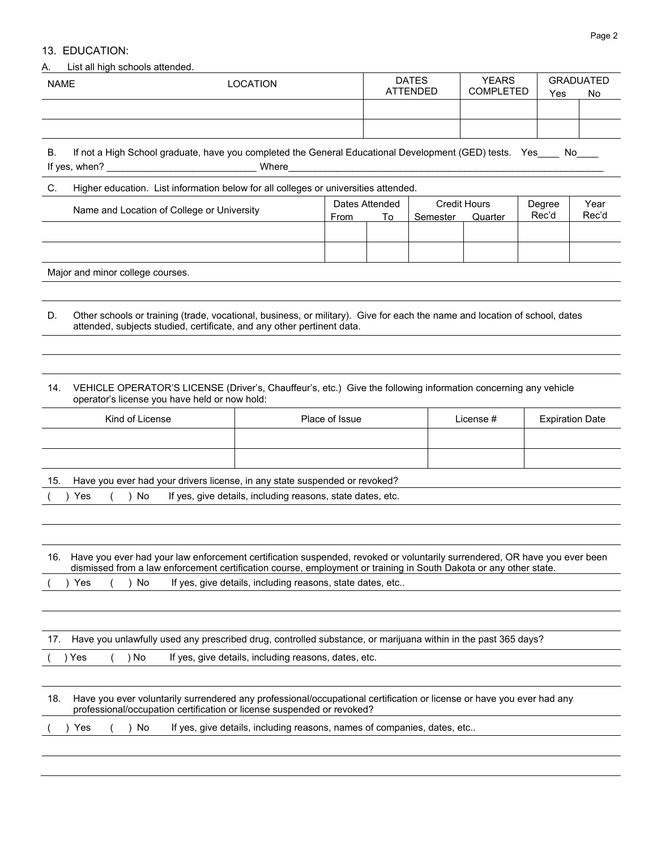# 13. EDUCATION:

## A. List all high schools attended.

| <b>NAME</b> | <b>LOCATION</b> | <b>DATES</b><br><b>ATTENDED</b> | <b>YEARS</b><br><b>COMPLETED</b> | GRADUATED<br>Yes | No |
|-------------|-----------------|---------------------------------|----------------------------------|------------------|----|
|             |                 |                                 |                                  |                  |    |
|             |                 |                                 |                                  |                  |    |

B. If not a High School graduate, have you completed the General Educational Development (GED) tests. Yes\_\_\_\_ No\_\_\_ If yes, when? \_\_\_\_\_\_\_\_\_\_\_\_\_\_\_\_\_\_\_\_\_\_\_\_\_\_\_\_ Where \_\_\_\_\_\_\_\_\_\_\_\_\_\_\_\_\_\_\_\_\_\_\_\_\_\_\_\_\_\_\_\_\_\_\_\_\_\_\_\_\_\_\_\_\_\_\_\_\_\_\_\_\_\_\_\_\_\_\_

## C. Higher education. List information below for all colleges or universities attended.

| Name and Location of College or University | Dates Attended |    | <b>Credit Hours</b> |         | Degree | Year  |
|--------------------------------------------|----------------|----|---------------------|---------|--------|-------|
|                                            | From           | To | Semester            | Quarter | Rec'd  | Rec'd |
|                                            |                |    |                     |         |        |       |
|                                            |                |    |                     |         |        |       |
|                                            |                |    |                     |         |        |       |
|                                            |                |    |                     |         |        |       |
|                                            |                |    |                     |         |        |       |

Major and minor college courses.

D. Other schools or training (trade, vocational, business, or military). Give for each the name and location of school, dates attended, subjects studied, certificate, and any other pertinent data.

## 14. VEHICLE OPERATOR'S LICENSE (Driver's, Chauffeur's, etc.) Give the following information concerning any vehicle operator's license you have held or now hold:

| Kind of License | Place of Issue | License # | <b>Expiration Date</b> |
|-----------------|----------------|-----------|------------------------|
|                 |                |           |                        |
|                 |                |           |                        |

15. Have you ever had your drivers license, in any state suspended or revoked?

|  |  |  | () Yes () No If yes, give details, including reasons, state dates, etc. |  |
|--|--|--|-------------------------------------------------------------------------|--|
|--|--|--|-------------------------------------------------------------------------|--|

|  |      |      | 16. Have you ever had your law enforcement certification suspended, revoked or voluntarily surrendered, OR have you ever been<br>dismissed from a law enforcement certification course, employment or training in South Dakota or any other state. |
|--|------|------|----------------------------------------------------------------------------------------------------------------------------------------------------------------------------------------------------------------------------------------------------|
|  | )Yes | ) No | If yes, give details, including reasons, state dates, etc                                                                                                                                                                                          |

|  |  | 17. Have you unlawfully used any prescribed drug, controlled substance, or marijuana within in the past 365 days? |  |  |  |
|--|--|-------------------------------------------------------------------------------------------------------------------|--|--|--|
|--|--|-------------------------------------------------------------------------------------------------------------------|--|--|--|

( ) Yes ( ) No If yes, give details, including reasons, dates, etc.

| 18. Have you ever voluntarily surrendered any professional/occupational certification or license or have you ever had any |
|---------------------------------------------------------------------------------------------------------------------------|
| professional/occupation certification or license suspended or revoked?                                                    |
|                                                                                                                           |

|  | ( )Yes | $\left( \begin{array}{c} \end{array} \right)$ No $\left( \begin{array}{c} \end{array} \right)$ |  |  | If yes, give details, including reasons, names of companies, dates, etc |  |
|--|--------|------------------------------------------------------------------------------------------------|--|--|-------------------------------------------------------------------------|--|
|--|--------|------------------------------------------------------------------------------------------------|--|--|-------------------------------------------------------------------------|--|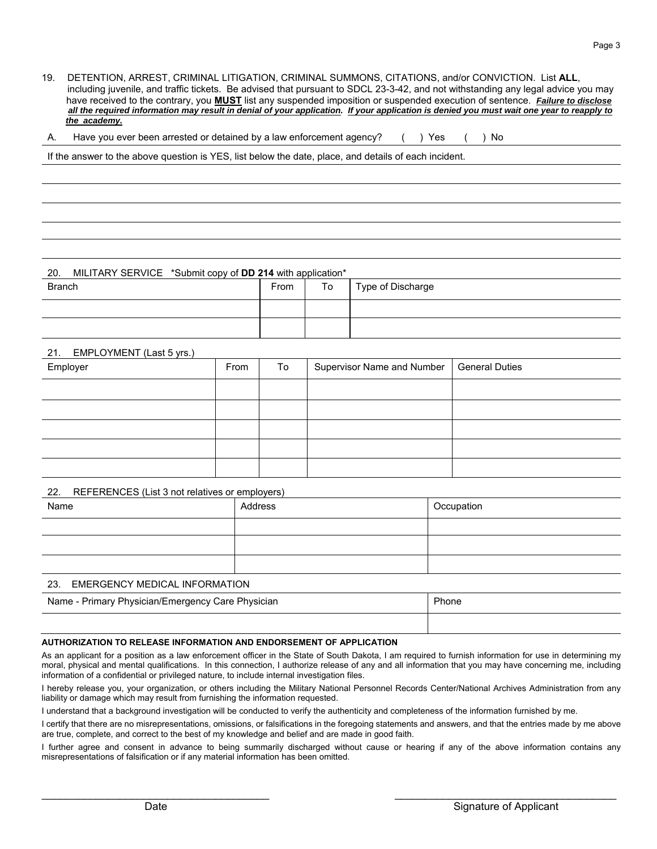19. DETENTION, ARREST, CRIMINAL LITIGATION, CRIMINAL SUMMONS, CITATIONS, and/or CONVICTION. List **ALL**, including juvenile, and traffic tickets. Be advised that pursuant to SDCL 23-3-42, and not withstanding any legal advice you may have received to the contrary, you **MUST** list any suspended imposition or suspended execution of sentence. *Failure to disclose all the required information may result in denial of your application. If your application is denied you must wait one year to reapply to the academy.* 

|  |  | A. Have you ever been arrested or detained by a law enforcement agency? () Yes () No |  |  |  |  |
|--|--|--------------------------------------------------------------------------------------|--|--|--|--|
|--|--|--------------------------------------------------------------------------------------|--|--|--|--|

If the answer to the above question is YES, list below the date, place, and details of each incident.

## 20. MILITARY SERVICE \*Submit copy of **DD 214** with application\*

| _ _ _ _ _ _ _ _ _ _ _ _<br>- - - -<br>_ - |      |    |                   |
|-------------------------------------------|------|----|-------------------|
| <b>Branch</b>                             | From | To | Type of Discharge |
|                                           |      |    |                   |
|                                           |      |    |                   |

### 21. EMPLOYMENT (Last 5 yrs.)

| Employer | From | To | Supervisor Name and Number   General Duties |  |
|----------|------|----|---------------------------------------------|--|
|          |      |    |                                             |  |
|          |      |    |                                             |  |
|          |      |    |                                             |  |
|          |      |    |                                             |  |
|          |      |    |                                             |  |

### 22. REFERENCES (List 3 not relatives or employers)

| Name                              | Address | Occupation |  |
|-----------------------------------|---------|------------|--|
|                                   |         |            |  |
|                                   |         |            |  |
|                                   |         |            |  |
| 23. EMERGENCY MEDICAL INFORMATION |         |            |  |

| Name - Primary Physician/Emergency Care Physician | Phone |
|---------------------------------------------------|-------|
|                                                   |       |

## **AUTHORIZATION TO RELEASE INFORMATION AND ENDORSEMENT OF APPLICATION**

As an applicant for a position as a law enforcement officer in the State of South Dakota, I am required to furnish information for use in determining my moral, physical and mental qualifications. In this connection, I authorize release of any and all information that you may have concerning me, including information of a confidential or privileged nature, to include internal investigation files.

I hereby release you, your organization, or others including the Military National Personnel Records Center/National Archives Administration from any liability or damage which may result from furnishing the information requested.

I understand that a background investigation will be conducted to verify the authenticity and completeness of the information furnished by me.

I certify that there are no misrepresentations, omissions, or falsifications in the foregoing statements and answers, and that the entries made by me above are true, complete, and correct to the best of my knowledge and belief and are made in good faith.

I further agree and consent in advance to being summarily discharged without cause or hearing if any of the above information contains any misrepresentations of falsification or if any material information has been omitted.

 $\mathcal{L}_\text{max}$  , and the set of the set of the set of the set of the set of the set of the set of the set of the set of the set of the set of the set of the set of the set of the set of the set of the set of the set of the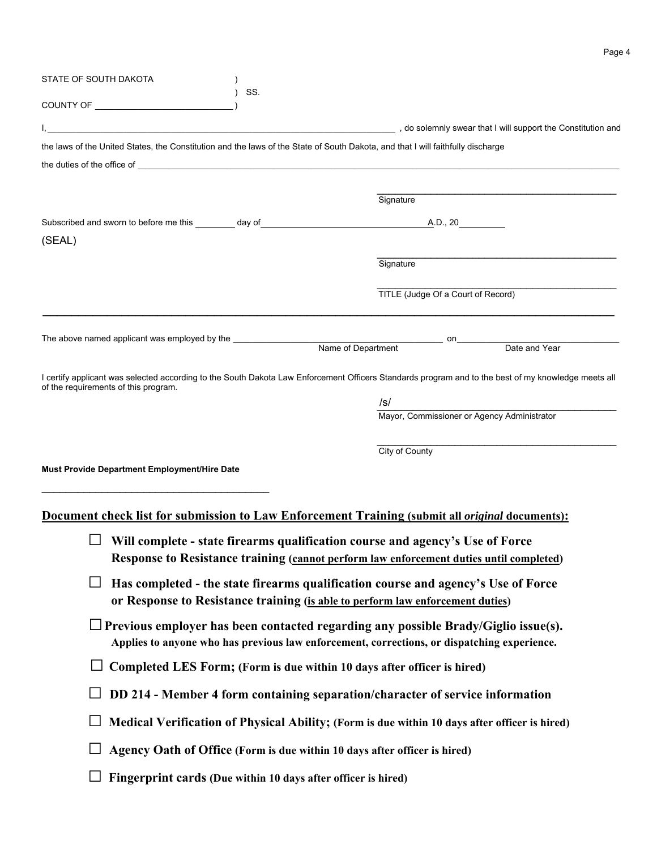| STATE OF SOUTH DAKOTA                                         |     |                                                                                                                                                     |
|---------------------------------------------------------------|-----|-----------------------------------------------------------------------------------------------------------------------------------------------------|
| COUNTY OF THE COUNTY OF                                       | SS. |                                                                                                                                                     |
|                                                               |     |                                                                                                                                                     |
|                                                               |     | the laws of the United States, the Constitution and the laws of the State of South Dakota, and that I will faithfully discharge                     |
|                                                               |     |                                                                                                                                                     |
|                                                               |     |                                                                                                                                                     |
|                                                               |     | Signature                                                                                                                                           |
|                                                               |     |                                                                                                                                                     |
| (SEAL)                                                        |     |                                                                                                                                                     |
|                                                               |     | Signature                                                                                                                                           |
|                                                               |     |                                                                                                                                                     |
|                                                               |     | TITLE (Judge Of a Court of Record)                                                                                                                  |
|                                                               |     |                                                                                                                                                     |
|                                                               |     | Date and Year                                                                                                                                       |
|                                                               |     |                                                                                                                                                     |
| of the requirements of this program.                          |     | I certify applicant was selected according to the South Dakota Law Enforcement Officers Standards program and to the best of my knowledge meets all |
|                                                               |     | /s/                                                                                                                                                 |
|                                                               |     | Mayor, Commissioner or Agency Administrator                                                                                                         |
|                                                               |     |                                                                                                                                                     |
| Must Provide Department Employment/Hire Date                  |     | City of County                                                                                                                                      |
|                                                               |     |                                                                                                                                                     |
|                                                               |     |                                                                                                                                                     |
|                                                               |     | Document check list for submission to Law Enforcement Training (submit all <i>original</i> documents):                                              |
|                                                               |     | Will complete - state firearms qualification course and agency's Use of Force                                                                       |
|                                                               |     | Response to Resistance training (cannot perform law enforcement duties until completed)                                                             |
| ⊔                                                             |     | Has completed - the state firearms qualification course and agency's Use of Force                                                                   |
|                                                               |     | or Response to Resistance training (is able to perform law enforcement duties)                                                                      |
|                                                               |     | $\Box$ Previous employer has been contacted regarding any possible Brady/Giglio issue(s).                                                           |
|                                                               |     | Applies to anyone who has previous law enforcement, corrections, or dispatching experience.                                                         |
|                                                               |     | Completed LES Form; (Form is due within 10 days after officer is hired)                                                                             |
|                                                               |     | DD 214 - Member 4 form containing separation/character of service information                                                                       |
|                                                               |     | Medical Verification of Physical Ability; (Form is due within 10 days after officer is hired)                                                       |
|                                                               |     | Agency Oath of Office (Form is due within 10 days after officer is hired)                                                                           |
| Fingerprint cards (Due within 10 days after officer is hired) |     |                                                                                                                                                     |

Page 4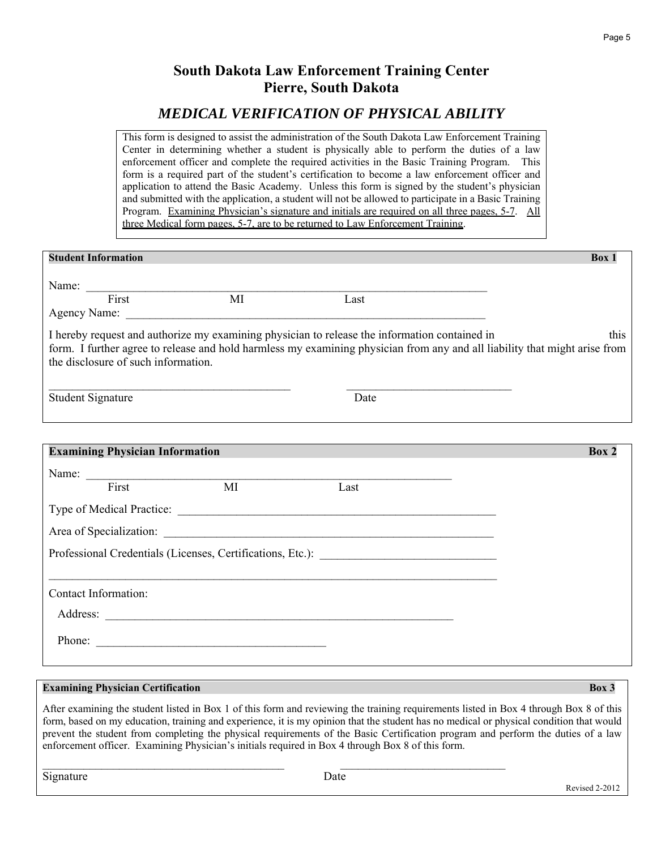# **South Dakota Law Enforcement Training Center Pierre, South Dakota**

# *MEDICAL VERIFICATION OF PHYSICAL ABILITY*

This form is designed to assist the administration of the South Dakota Law Enforcement Training Center in determining whether a student is physically able to perform the duties of a law enforcement officer and complete the required activities in the Basic Training Program. This form is a required part of the student's certification to become a law enforcement officer and application to attend the Basic Academy. Unless this form is signed by the student's physician and submitted with the application, a student will not be allowed to participate in a Basic Training Program. Examining Physician's signature and initials are required on all three pages, 5-7. All three Medical form pages, 5-7, are to be returned to Law Enforcement Training.

| <b>Student Information</b>             |                |                                                                                               | Box 1                                                                                                                              |
|----------------------------------------|----------------|-----------------------------------------------------------------------------------------------|------------------------------------------------------------------------------------------------------------------------------------|
|                                        | Name: First MI | Last                                                                                          |                                                                                                                                    |
| the disclosure of such information.    |                | I hereby request and authorize my examining physician to release the information contained in | this<br>form. I further agree to release and hold harmless my examining physician from any and all liability that might arise from |
| <b>Student Signature</b>               |                | Date                                                                                          |                                                                                                                                    |
|                                        |                |                                                                                               |                                                                                                                                    |
| <b>Examining Physician Information</b> |                |                                                                                               | Box 2                                                                                                                              |
|                                        | Name: Tirst MI |                                                                                               |                                                                                                                                    |
|                                        |                | Last                                                                                          |                                                                                                                                    |
|                                        |                |                                                                                               |                                                                                                                                    |
|                                        |                |                                                                                               |                                                                                                                                    |
|                                        |                | Professional Credentials (Licenses, Certifications, Etc.): ______________________             |                                                                                                                                    |
|                                        |                |                                                                                               |                                                                                                                                    |
| <b>Contact Information:</b>            |                |                                                                                               |                                                                                                                                    |
|                                        |                | Address:                                                                                      |                                                                                                                                    |
|                                        | Phone:         |                                                                                               |                                                                                                                                    |

# **Examining Physician Certification Box 3**

After examining the student listed in Box 1 of this form and reviewing the training requirements listed in Box 4 through Box 8 of this form, based on my education, training and experience, it is my opinion that the student has no medical or physical condition that would prevent the student from completing the physical requirements of the Basic Certification program and perform the duties of a law enforcement officer. Examining Physician's initials required in Box 4 through Box 8 of this form.

Signature **Signature** Revised 2-2012

 $\mathcal{L}_\text{max} = \mathcal{L}_\text{max} = \mathcal{L}_\text{max} = \mathcal{L}_\text{max} = \mathcal{L}_\text{max} = \mathcal{L}_\text{max} = \mathcal{L}_\text{max} = \mathcal{L}_\text{max} = \mathcal{L}_\text{max} = \mathcal{L}_\text{max} = \mathcal{L}_\text{max} = \mathcal{L}_\text{max} = \mathcal{L}_\text{max} = \mathcal{L}_\text{max} = \mathcal{L}_\text{max} = \mathcal{L}_\text{max} = \mathcal{L}_\text{max} = \mathcal{L}_\text{max} = \mathcal{$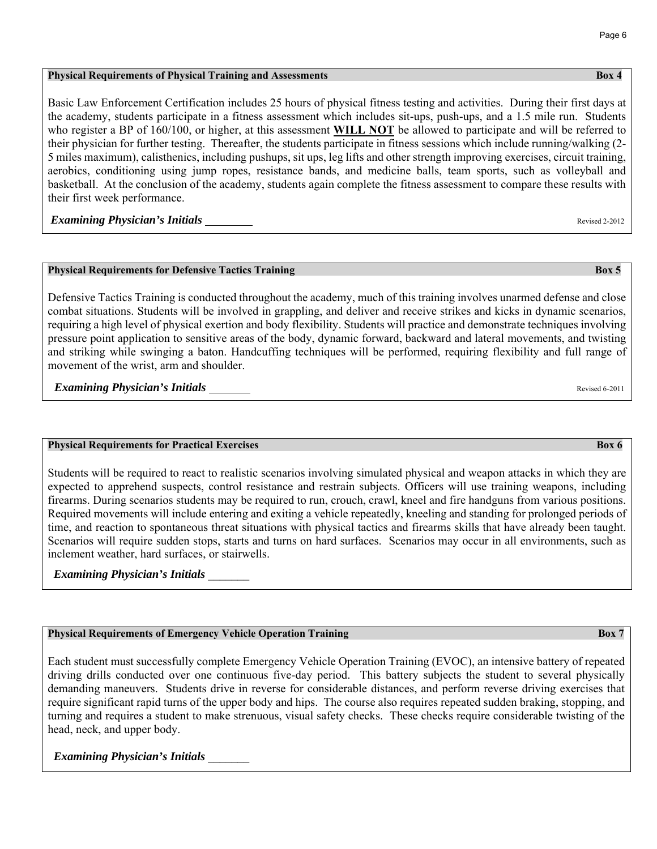### **Physical Requirements of Physical Training and Assessments** Box 4 **Box 4 Box 4 Box 4**

Basic Law Enforcement Certification includes 25 hours of physical fitness testing and activities. During their first days at the academy, students participate in a fitness assessment which includes sit-ups, push-ups, and a 1.5 mile run. Students who register a BP of 160/100, or higher, at this assessment **WILL NOT** be allowed to participate and will be referred to their physician for further testing. Thereafter, the students participate in fitness sessions which include running/walking (2- 5 miles maximum), calisthenics, including pushups, sit ups, leg lifts and other strength improving exercises, circuit training, aerobics, conditioning using jump ropes, resistance bands, and medicine balls, team sports, such as volleyball and basketball. At the conclusion of the academy, students again complete the fitness assessment to compare these results with their first week performance.

*Examining Physician's Initials* Revised 2-2012

## **Physical Requirements for Defensive Tactics Training Box 5**

Defensive Tactics Training is conducted throughout the academy, much of this training involves unarmed defense and close combat situations. Students will be involved in grappling, and deliver and receive strikes and kicks in dynamic scenarios, requiring a high level of physical exertion and body flexibility. Students will practice and demonstrate techniques involving pressure point application to sensitive areas of the body, dynamic forward, backward and lateral movements, and twisting and striking while swinging a baton. Handcuffing techniques will be performed, requiring flexibility and full range of movement of the wrist, arm and shoulder.

**Examining Physician's Initials Revised 6-2011** Revised 6-2011

## **Physical Requirements for Practical Exercises Box 6 <b>***Box 6* **Box 6 Box 6 Box 6 Box 6 Box 6 Box 6 Box 6 Box 6 Box 6 Box 6 Box 6 Box 6 Box 6 Box 6 Box 6 Box 6 Box 6 Box 6 Box 6 Box 6**

Students will be required to react to realistic scenarios involving simulated physical and weapon attacks in which they are expected to apprehend suspects, control resistance and restrain subjects. Officers will use training weapons, including firearms. During scenarios students may be required to run, crouch, crawl, kneel and fire handguns from various positions. Required movements will include entering and exiting a vehicle repeatedly, kneeling and standing for prolonged periods of time, and reaction to spontaneous threat situations with physical tactics and firearms skills that have already been taught. Scenarios will require sudden stops, starts and turns on hard surfaces. Scenarios may occur in all environments, such as inclement weather, hard surfaces, or stairwells.

*Examining Physician's Initials* \_\_\_\_\_\_\_

# **Physical Requirements of Emergency Vehicle Operation Training and American Contract Contract Contract Contract Box 7**

Each student must successfully complete Emergency Vehicle Operation Training (EVOC), an intensive battery of repeated driving drills conducted over one continuous five-day period. This battery subjects the student to several physically demanding maneuvers. Students drive in reverse for considerable distances, and perform reverse driving exercises that require significant rapid turns of the upper body and hips. The course also requires repeated sudden braking, stopping, and turning and requires a student to make strenuous, visual safety checks. These checks require considerable twisting of the head, neck, and upper body.

*Examining Physician's Initials* \_\_\_\_\_\_\_